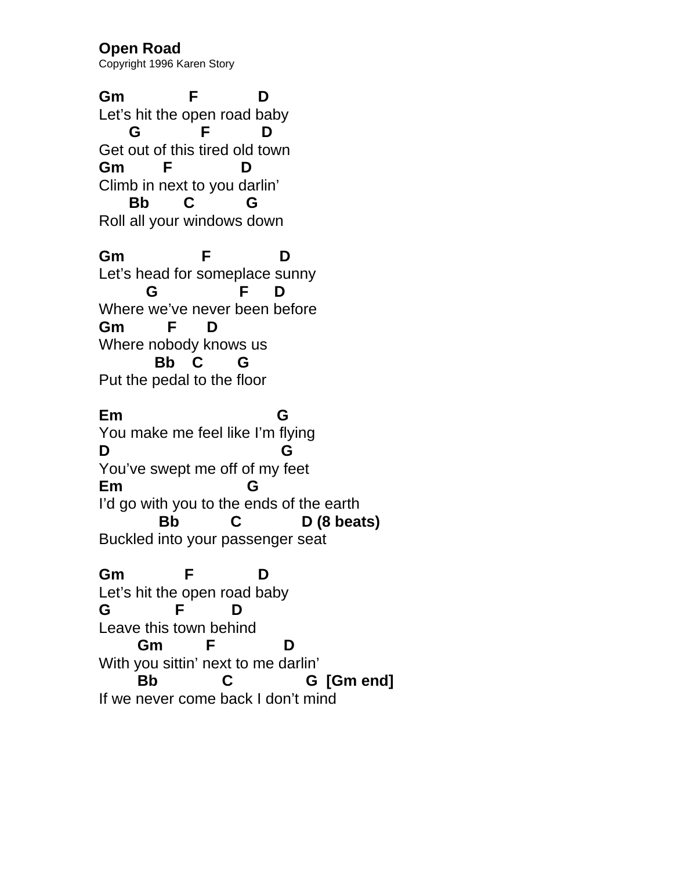**Open Road**  Copyright 1996 Karen Story

**Gm F D**  Let's hit the open road baby  **G F D**  Get out of this tired old town **Gm F D**  Climb in next to you darlin'  **Bb C G**  Roll all your windows down

**Gm F D**  Let's head for someplace sunny  **G F D**  Where we've never been before **Gm F D**  Where nobody knows us  **Bb C G**  Put the pedal to the floor

**Em G**  You make me feel like I'm flying **D G**  You've swept me off of my feet **Em G**  I'd go with you to the ends of the earth  **Bb C D (8 beats)**  Buckled into your passenger seat

**Gm F D**  Let's hit the open road baby **G F D**  Leave this town behind  **Gm F D**  With you sittin' next to me darlin'  **Bb C G [Gm end]**  If we never come back I don't mind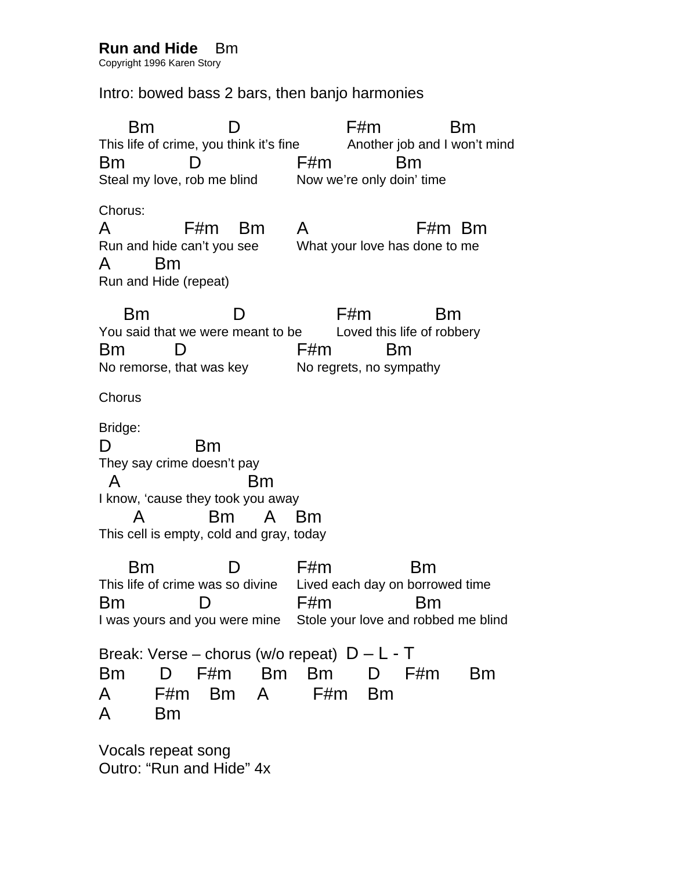## **Run and Hide** Bm

Copyright 1996 Karen Story

## Intro: bowed bass 2 bars, then banjo harmonies

 Bm D F#m Bm This life of crime, you think it's fine Another job and I won't mind Bm D F#m Bm Steal my love, rob me blind Now we're only doin' time Chorus: A F#m Bm A F#m Bm Run and hide can't you see What your love has done to me A Bm Run and Hide (repeat) Bm D F#m Bm You said that we were meant to be Loved this life of robbery Bm D F#m Bm No remorse, that was key No regrets, no sympathy **Chorus** Bridge: D Bm They say crime doesn't pay A Bm I know, 'cause they took you away A Bm A Bm This cell is empty, cold and gray, today Bm D F#m Bm This life of crime was so divine Lived each day on borrowed time Bm D F#m Bm I was yours and you were mine Stole your love and robbed me blind Break: Verse – chorus (w/o repeat)  $D - L - T$ Bm D F#m Bm Bm D F#m Bm A F#m Bm A F#m Bm A Bm

Vocals repeat song Outro: "Run and Hide" 4x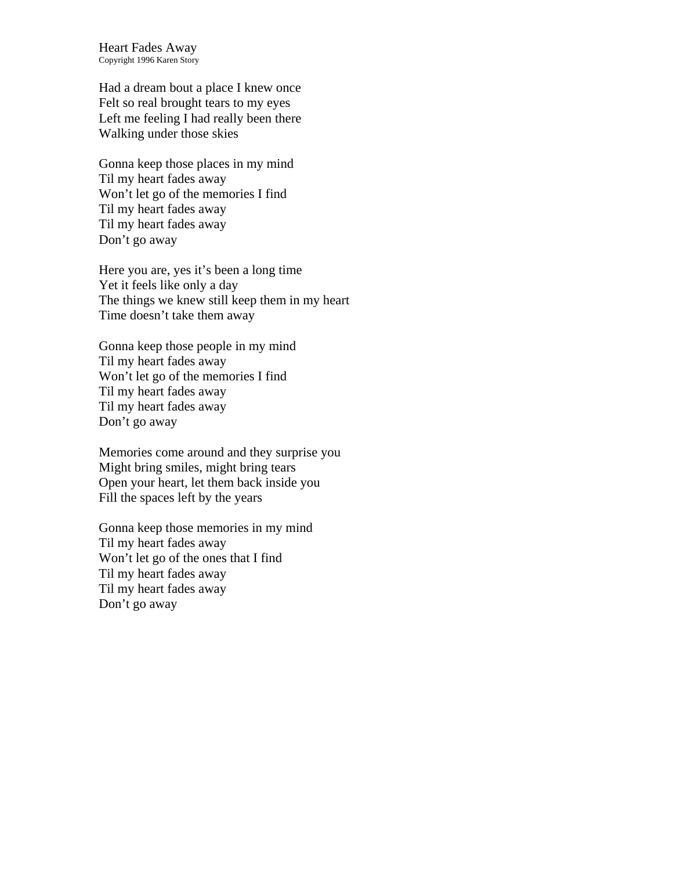Heart Fades Away Copyright 1996 Karen Story

Had a dream bout a place I knew once Felt so real brought tears to my eyes Left me feeling I had really been there Walking under those skies

Gonna keep those places in my mind Til my heart fades away Won't let go of the memories I find Til my heart fades away Til my heart fades away Don't go away

Here you are, yes it's been a long time Yet it feels like only a day The things we knew still keep them in my heart Time doesn't take them away

Gonna keep those people in my mind Til my heart fades away Won't let go of the memories I find Til my heart fades away Til my heart fades away Don't go away

Memories come around and they surprise you Might bring smiles, might bring tears Open your heart, let them back inside you Fill the spaces left by the years

Gonna keep those memories in my mind Til my heart fades away Won't let go of the ones that I find Til my heart fades away Til my heart fades away Don't go away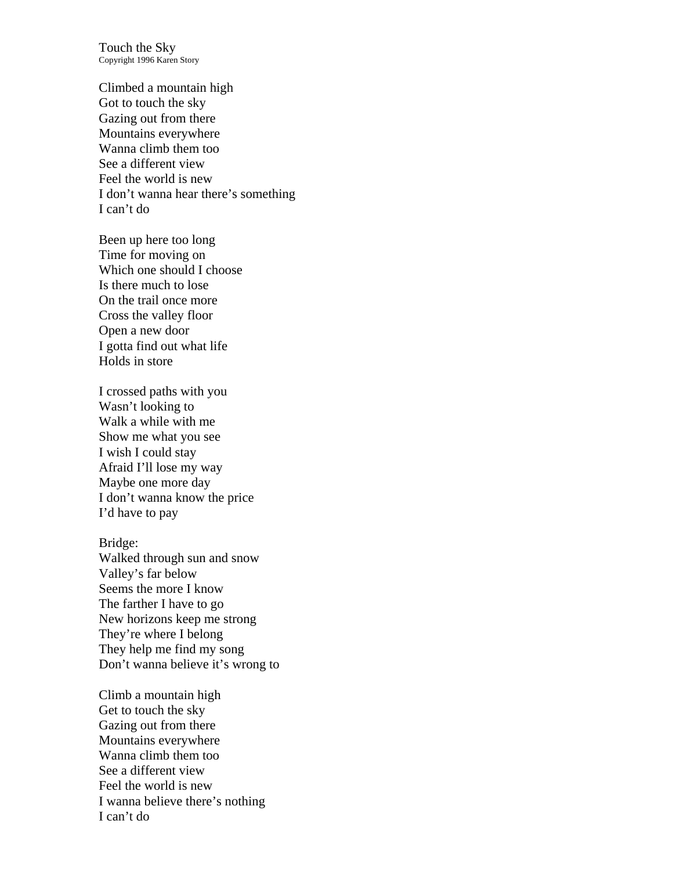Touch the Sky Copyright 1996 Karen Story

Climbed a mountain high Got to touch the sky Gazing out from there Mountains everywhere Wanna climb them too See a different view Feel the world is new I don't wanna hear there's something I can't do

Been up here too long Time for moving on Which one should I choose Is there much to lose On the trail once more Cross the valley floor Open a new door I gotta find out what life Holds in store

I crossed paths with you Wasn't looking to Walk a while with me Show me what you see I wish I could stay Afraid I'll lose my way Maybe one more day I don't wanna know the price I'd have to pay

Bridge: Walked through sun and snow Valley's far below Seems the more I know The farther I have to go New horizons keep me strong They're where I belong They help me find my song Don't wanna believe it's wrong to

Climb a mountain high Get to touch the sky Gazing out from there Mountains everywhere Wanna climb them too See a different view Feel the world is new I wanna believe there's nothing I can't do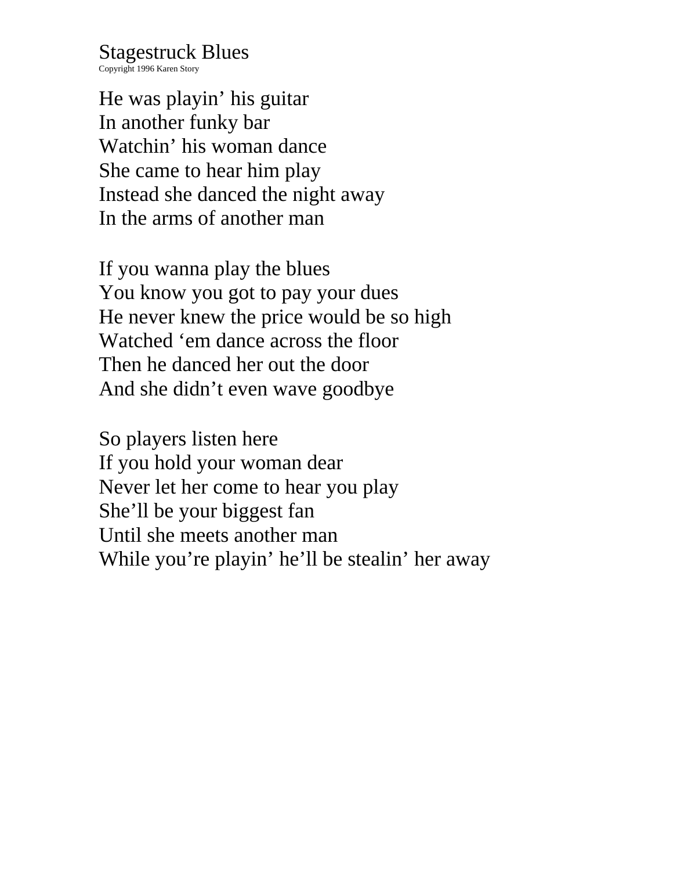Stagestruck Blues

Copyright 1996 Karen Story

He was playin' his guitar In another funky bar Watchin' his woman dance She came to hear him play Instead she danced the night away In the arms of another man

If you wanna play the blues You know you got to pay your dues He never knew the price would be so high Watched 'em dance across the floor Then he danced her out the door And she didn't even wave goodbye

So players listen here If you hold your woman dear Never let her come to hear you play She'll be your biggest fan Until she meets another man While you're playin' he'll be stealin' her away